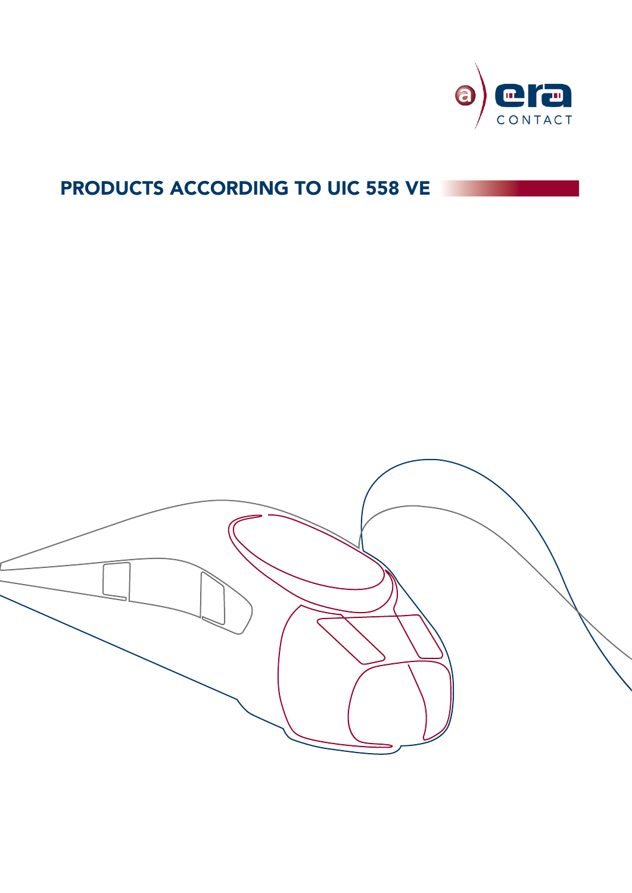

# PRODUCTS ACCORDING TO UIC 558 VE

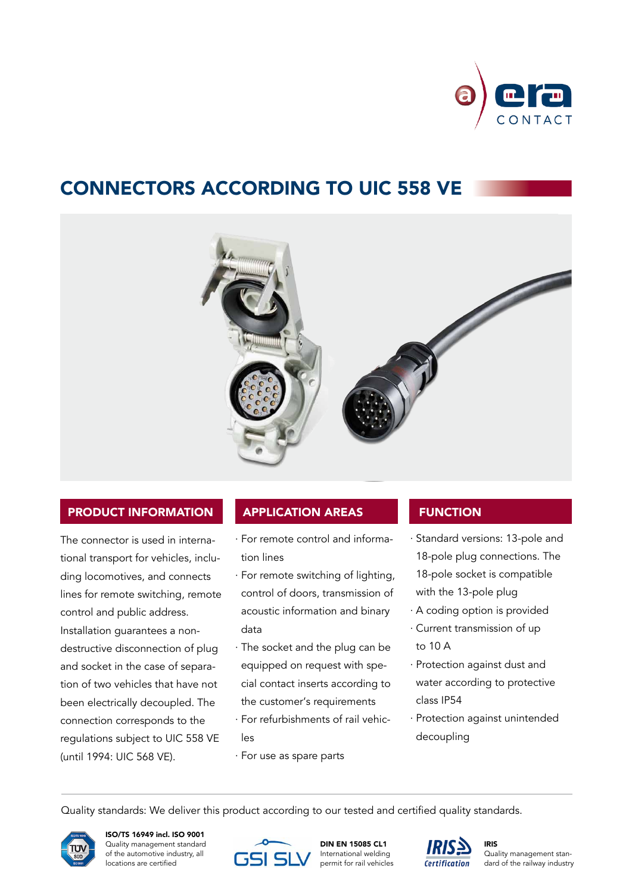

## Connectors according to UIC 558 VE



## Product information

The connector is used in international transport for vehicles, including locomotives, and connects lines for remote switching, remote control and public address. Installation guarantees a nondestructive disconnection of plug and socket in the case of separation of two vehicles that have not been electrically decoupled. The connection corresponds to the regulations subject to UIC 558 VE (until 1994: UIC 568 VE).

### Application areas

- · For remote control and information lines
- · For remote switching of lighting, control of doors, transmission of acoustic information and binary data
- · The socket and the plug can be equipped on request with special contact inserts according to the customer's requirements
- · For refurbishments of rail vehicles
- · For use as spare parts

## **FUNCTION**

- · Standard versions: 13-pole and 18-pole plug connections. The 18-pole socket is compatible with the 13-pole plug
- · A coding option is provided
- · Current transmission of up to 10 A
- · Protection against dust and water according to protective class IP54
- · Protection against unintended decoupling

Quality standards: We deliver this product according to our tested and certified quality standards.



ISO/TS 16949 incl. ISO 9001 Quality management standard of the automotive industry, all locations are certified



DIN EN 15085 CL1 International welding permit for rail vehicles



IRIS Quality management standard of the railway industry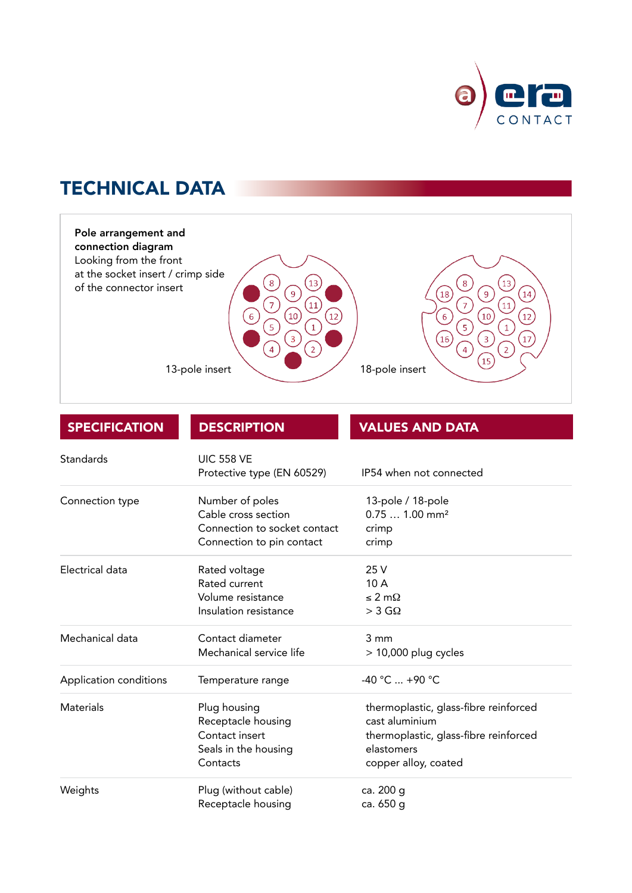

## **TECHNICAL DATA**



| <b>SPECIFICATION</b>   | <b>DESCRIPTION</b>           | <b>VALUES AND DATA</b>                |
|------------------------|------------------------------|---------------------------------------|
| Standards              | <b>UIC 558 VE</b>            |                                       |
|                        | Protective type (EN 60529)   | IP54 when not connected               |
| Connection type        | Number of poles              | 13-pole / 18-pole                     |
|                        | Cable cross section          | $0.751.00$ mm <sup>2</sup>            |
|                        | Connection to socket contact | crimp                                 |
|                        | Connection to pin contact    | crimp                                 |
| Electrical data        | Rated voltage                | 25 V                                  |
|                        | Rated current                | 10A                                   |
|                        | Volume resistance            | $\leq 2 \text{ m}\Omega$              |
|                        | Insulation resistance        | $>$ 3 G $\Omega$                      |
| Mechanical data        | Contact diameter             | 3 mm                                  |
|                        | Mechanical service life      | $>$ 10,000 plug cycles                |
| Application conditions | Temperature range            | $-40 °C  +90 °C$                      |
| Materials              | Plug housing                 | thermoplastic, glass-fibre reinforced |
|                        | Receptacle housing           | cast aluminium                        |
|                        | Contact insert               | thermoplastic, glass-fibre reinforced |
|                        | Seals in the housing         | elastomers                            |
|                        | Contacts                     | copper alloy, coated                  |
| Weights                | Plug (without cable)         | ca. 200 g                             |
|                        | Receptacle housing           | ca. 650 g                             |
|                        |                              |                                       |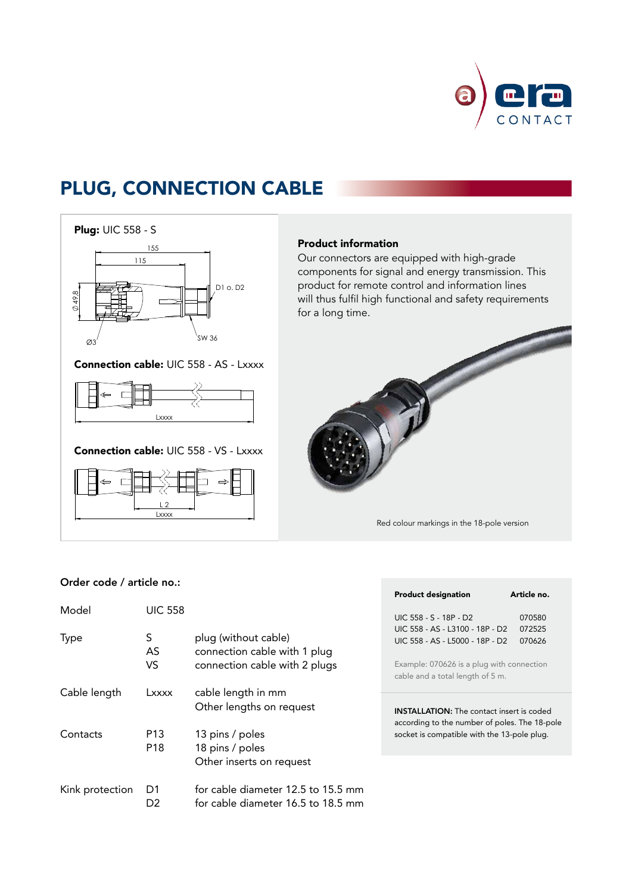

## Plug, connection cable





Connection cable: UIC 558 - VS - Lxxxx



### Product information

Our connectors are equipped with high-grade % components for signal and energy transmission. This product for remote control and information lines will thus fulfil high functional and safety requirements for a long time.



Red colour markings in the 18-pole version (

## Order code / article no.:

| Order code / article no.: |                                    |                                                                                       |                                                                                                                                                     | Article no.      |
|---------------------------|------------------------------------|---------------------------------------------------------------------------------------|-----------------------------------------------------------------------------------------------------------------------------------------------------|------------------|
| Model                     | <b>UIC 558</b>                     |                                                                                       | <b>Product designation</b><br>UIC 558 - S - 18P - D2                                                                                                | 070580           |
| Type                      | S<br>AS<br>VS.                     | plug (without cable)<br>connection cable with 1 plug<br>connection cable with 2 plugs | UIC 558 - AS - L3100 - 18P - D2<br>UIC 558 - AS - L5000 - 18P - D2<br>Example: 070626 is a plug with connection<br>cable and a total length of 5 m. | 072525<br>070626 |
| Cable length              | Lxxxx                              | cable length in mm<br>Other lengths on request                                        | <b>INSTALLATION:</b> The contact insert is coded<br>according to the number of poles. The 18-pole<br>socket is compatible with the 13-pole plug.    |                  |
| Contacts                  | P <sub>13</sub><br>P <sub>18</sub> | 13 pins / poles<br>18 pins / poles<br>Other inserts on request                        |                                                                                                                                                     |                  |
| Kink protection           | D1<br>D <sub>2</sub>               | for cable diameter 12.5 to 15.5 mm<br>for cable diameter 16.5 to 18.5 mm              |                                                                                                                                                     |                  |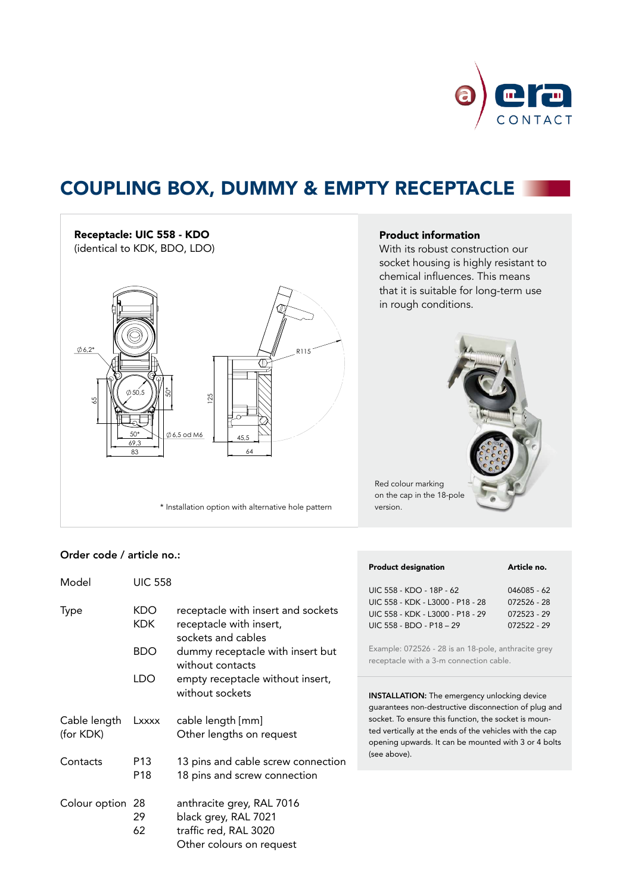

## Coupling box, dummy & empty receptacle



the contract of the contract of the contract of the contract of the contract of the contract of the contract of

the contract of the contract of the contract of the contract of the contract of the contract of the contract of

## Product information

With its robust construction our socket housing is highly resistant to chemical influences. This means that it is suitable for long-term use in rough conditions.



### Order code / article no.:

|                  |                |                                    | <b>Product designation</b>                                                                                  | Article no. |
|------------------|----------------|------------------------------------|-------------------------------------------------------------------------------------------------------------|-------------|
| Model            | <b>UIC 558</b> |                                    | UIC 558 - KDO - 18P - 62                                                                                    | 046085 - 62 |
|                  |                |                                    | UIC 558 - KDK - L3000 - P18 - 28                                                                            | 072526 - 28 |
| Type             | <b>KDO</b>     | receptacle with insert and sockets | UIC 558 - KDK - L3000 - P18 - 29                                                                            | 072523 - 29 |
|                  | KDK.           | receptacle with insert,            | UIC 558 - BDO - P18 - 29                                                                                    | 072522 - 29 |
|                  |                | sockets and cables                 |                                                                                                             |             |
|                  | <b>BDO</b>     | dummy receptacle with insert but   | Example: 072526 - 28 is an 18-pole, anthracite grey                                                         |             |
|                  |                | without contacts                   | receptacle with a 3-m connection cable.                                                                     |             |
|                  | LDO.           | empty receptacle without insert,   |                                                                                                             |             |
|                  |                | without sockets                    |                                                                                                             |             |
|                  |                |                                    | <b>INSTALLATION:</b> The emergency unlocking device<br>guarantees non-destructive disconnection of plug and |             |
| Cable length     | Lxxxx          | cable length [mm]                  | socket. To ensure this function, the socket is moun-                                                        |             |
|                  |                |                                    | ted vertically at the ends of the vehicles with the cap                                                     |             |
| (for KDK)        |                | Other lengths on request           | opening upwards. It can be mounted with 3 or 4 bolts                                                        |             |
|                  |                |                                    | (see above).                                                                                                |             |
| Contacts         | P13            | 13 pins and cable screw connection |                                                                                                             |             |
|                  | P18            | 18 pins and screw connection       |                                                                                                             |             |
| Colour option 28 |                | anthracite grey, RAL 7016          |                                                                                                             |             |
|                  | 29             | black grey, RAL 7021               |                                                                                                             |             |
|                  | 62             | traffic red. RAL 3020              |                                                                                                             |             |

Other colours on request